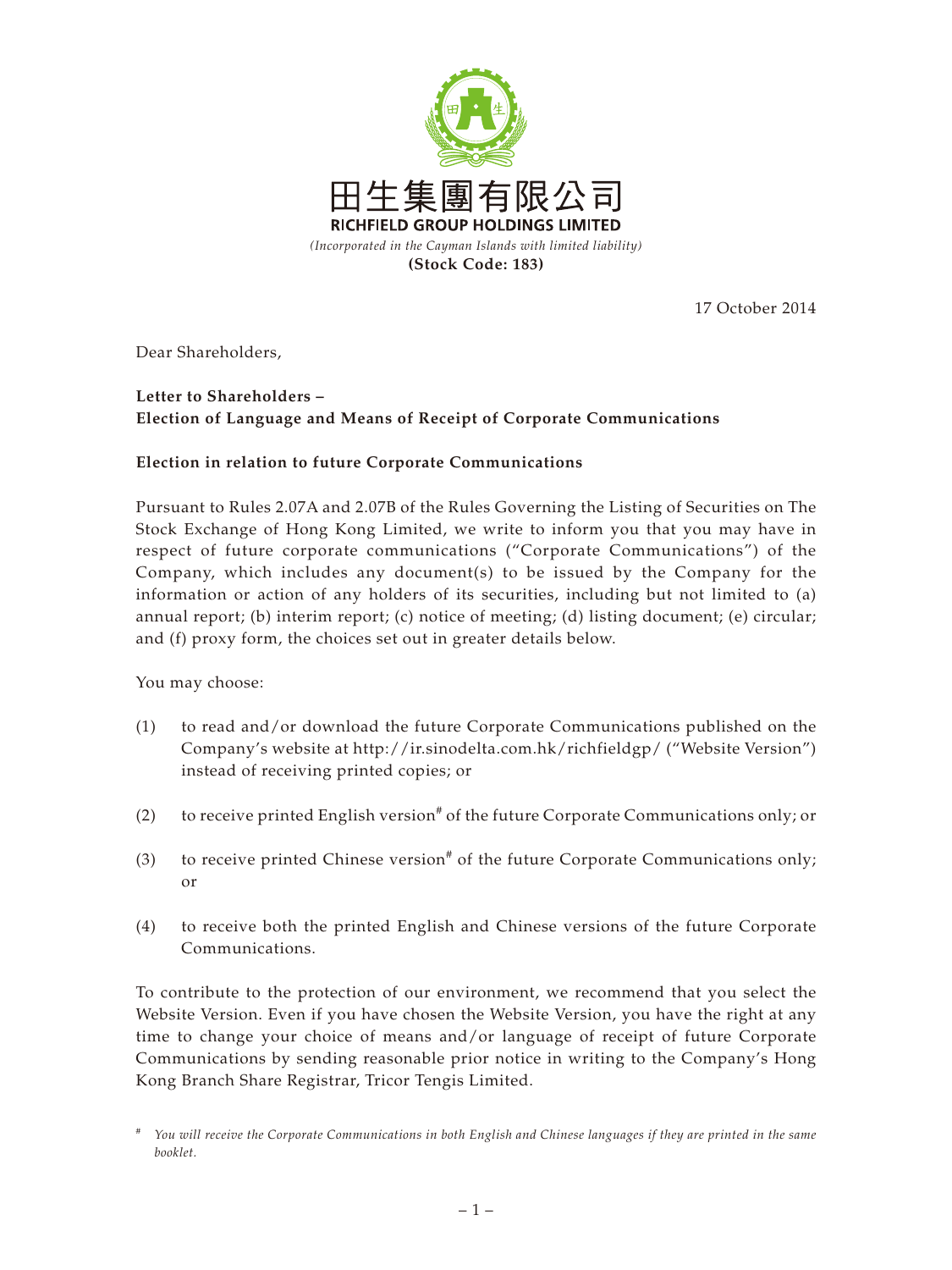

17 October 2014

Dear Shareholders,

## **Letter to Shareholders – Election of Language and Means of Receipt of Corporate Communications**

## **Election in relation to future Corporate Communications**

Pursuant to Rules 2.07A and 2.07B of the Rules Governing the Listing of Securities on The Stock Exchange of Hong Kong Limited, we write to inform you that you may have in respect of future corporate communications ("Corporate Communications") of the Company, which includes any document(s) to be issued by the Company for the information or action of any holders of its securities, including but not limited to (a) annual report; (b) interim report; (c) notice of meeting; (d) listing document; (e) circular; and (f) proxy form, the choices set out in greater details below.

You may choose:

- (1) to read and/or download the future Corporate Communications published on the Company's website at http://ir.sinodelta.com.hk/richfieldgp/ ("Website Version") instead of receiving printed copies; or
- (2) to receive printed English version<sup>#</sup> of the future Corporate Communications only; or
- (3) to receive printed Chinese version<sup>#</sup> of the future Corporate Communications only; or
- (4) to receive both the printed English and Chinese versions of the future Corporate Communications.

To contribute to the protection of our environment, we recommend that you select the Website Version. Even if you have chosen the Website Version, you have the right at any time to change your choice of means and/or language of receipt of future Corporate Communications by sending reasonable prior notice in writing to the Company's Hong Kong Branch Share Registrar, Tricor Tengis Limited.

*<sup>#</sup> You will receive the Corporate Communications in both English and Chinese languages if they are printed in the same booklet.*